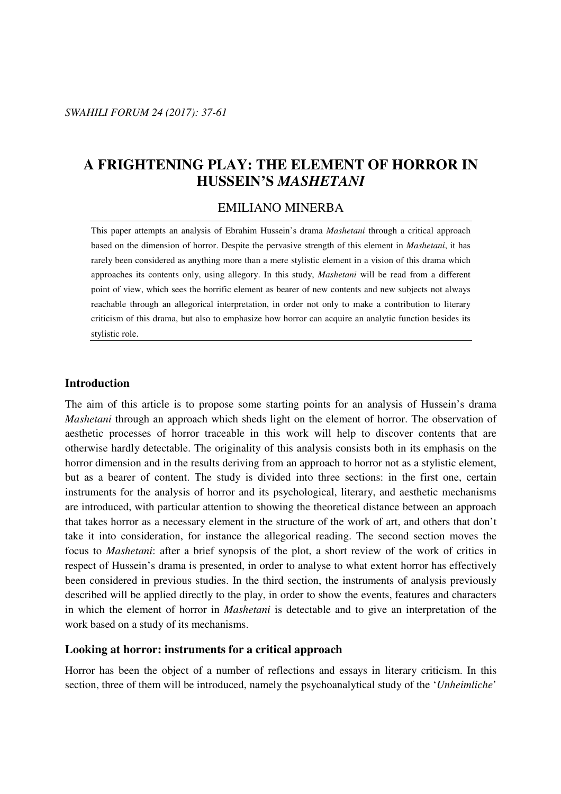# **A FRIGHTENING PLAY: THE ELEMENT OF HORROR IN HUSSEIN'S** *MASHETANI*

#### EMILIANO MINERBA

This paper attempts an analysis of Ebrahim Hussein's drama *Mashetani* through a critical approach based on the dimension of horror. Despite the pervasive strength of this element in *Mashetani*, it has rarely been considered as anything more than a mere stylistic element in a vision of this drama which approaches its contents only, using allegory. In this study, *Mashetani* will be read from a different point of view, which sees the horrific element as bearer of new contents and new subjects not always reachable through an allegorical interpretation, in order not only to make a contribution to literary criticism of this drama, but also to emphasize how horror can acquire an analytic function besides its stylistic role.

#### **Introduction**

The aim of this article is to propose some starting points for an analysis of Hussein's drama *Mashetani* through an approach which sheds light on the element of horror. The observation of aesthetic processes of horror traceable in this work will help to discover contents that are otherwise hardly detectable. The originality of this analysis consists both in its emphasis on the horror dimension and in the results deriving from an approach to horror not as a stylistic element, but as a bearer of content. The study is divided into three sections: in the first one, certain instruments for the analysis of horror and its psychological, literary, and aesthetic mechanisms are introduced, with particular attention to showing the theoretical distance between an approach that takes horror as a necessary element in the structure of the work of art, and others that don't take it into consideration, for instance the allegorical reading. The second section moves the focus to *Mashetani*: after a brief synopsis of the plot, a short review of the work of critics in respect of Hussein's drama is presented, in order to analyse to what extent horror has effectively been considered in previous studies. In the third section, the instruments of analysis previously described will be applied directly to the play, in order to show the events, features and characters in which the element of horror in *Mashetani* is detectable and to give an interpretation of the work based on a study of its mechanisms.

#### **Looking at horror: instruments for a critical approach**

Horror has been the object of a number of reflections and essays in literary criticism. In this section, three of them will be introduced, namely the psychoanalytical study of the '*Unheimliche*'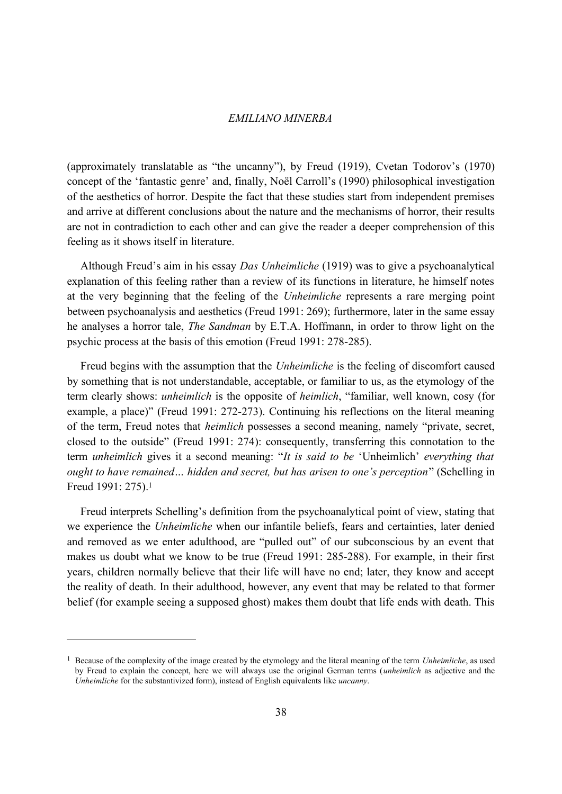(approximately translatable as "the uncanny"), by Freud (1919), Cvetan Todorov's (1970) concept of the 'fantastic genre' and, finally, Noël Carroll's (1990) philosophical investigation of the aesthetics of horror. Despite the fact that these studies start from independent premises and arrive at different conclusions about the nature and the mechanisms of horror, their results are not in contradiction to each other and can give the reader a deeper comprehension of this feeling as it shows itself in literature.

Although Freud's aim in his essay *Das Unheimliche* (1919) was to give a psychoanalytical explanation of this feeling rather than a review of its functions in literature, he himself notes at the very beginning that the feeling of the *Unheimliche* represents a rare merging point between psychoanalysis and aesthetics (Freud 1991: 269); furthermore, later in the same essay he analyses a horror tale, *The Sandman* by E.T.A. Hoffmann, in order to throw light on the psychic process at the basis of this emotion (Freud 1991: 278-285).

Freud begins with the assumption that the *Unheimliche* is the feeling of discomfort caused by something that is not understandable, acceptable, or familiar to us, as the etymology of the term clearly shows: *unheimlich* is the opposite of *heimlich*, "familiar, well known, cosy (for example, a place)" (Freud 1991: 272-273). Continuing his reflections on the literal meaning of the term, Freud notes that *heimlich* possesses a second meaning, namely "private, secret, closed to the outside" (Freud 1991: 274): consequently, transferring this connotation to the term *unheimlich* gives it a second meaning: "*It is said to be* 'Unheimlich' *everything that ought to have remained… hidden and secret, but has arisen to one's perception*" (Schelling in Freud 1991: 275).[1](#page-1-0)

Freud interprets Schelling's definition from the psychoanalytical point of view, stating that we experience the *Unheimliche* when our infantile beliefs, fears and certainties, later denied and removed as we enter adulthood, are "pulled out" of our subconscious by an event that makes us doubt what we know to be true (Freud 1991: 285-288). For example, in their first years, children normally believe that their life will have no end; later, they know and accept the reality of death. In their adulthood, however, any event that may be related to that former belief (for example seeing a supposed ghost) makes them doubt that life ends with death. This

<span id="page-1-0"></span><sup>1</sup> Because of the complexity of the image created by the etymology and the literal meaning of the term *Unheimliche*, as used by Freud to explain the concept, here we will always use the original German terms (*unheimlich* as adjective and the *Unheimliche* for the substantivized form), instead of English equivalents like *uncanny*.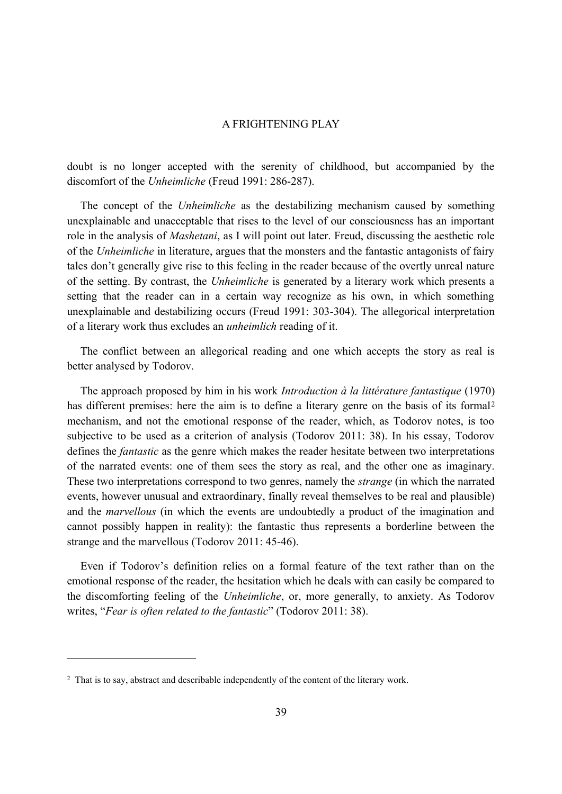doubt is no longer accepted with the serenity of childhood, but accompanied by the discomfort of the *Unheimliche* (Freud 1991: 286-287).

The concept of the *Unheimliche* as the destabilizing mechanism caused by something unexplainable and unacceptable that rises to the level of our consciousness has an important role in the analysis of *Mashetani*, as I will point out later. Freud, discussing the aesthetic role of the *Unheimliche* in literature, argues that the monsters and the fantastic antagonists of fairy tales don't generally give rise to this feeling in the reader because of the overtly unreal nature of the setting. By contrast, the *Unheimliche* is generated by a literary work which presents a setting that the reader can in a certain way recognize as his own, in which something unexplainable and destabilizing occurs (Freud 1991: 303-304). The allegorical interpretation of a literary work thus excludes an *unheimlich* reading of it.

The conflict between an allegorical reading and one which accepts the story as real is better analysed by Todorov.

The approach proposed by him in his work *Introduction à la littérature fantastique* (1970) has different premises: here the aim is to define a literary genre on the basis of its formal<sup>[2](#page-2-0)</sup> mechanism, and not the emotional response of the reader, which, as Todorov notes, is too subjective to be used as a criterion of analysis (Todorov 2011: 38). In his essay, Todorov defines the *fantastic* as the genre which makes the reader hesitate between two interpretations of the narrated events: one of them sees the story as real, and the other one as imaginary. These two interpretations correspond to two genres, namely the *strange* (in which the narrated events, however unusual and extraordinary, finally reveal themselves to be real and plausible) and the *marvellous* (in which the events are undoubtedly a product of the imagination and cannot possibly happen in reality): the fantastic thus represents a borderline between the strange and the marvellous (Todorov 2011: 45-46).

Even if Todorov's definition relies on a formal feature of the text rather than on the emotional response of the reader, the hesitation which he deals with can easily be compared to the discomforting feeling of the *Unheimliche*, or, more generally, to anxiety. As Todorov writes, "*Fear is often related to the fantastic*" (Todorov 2011: 38).

<span id="page-2-0"></span><sup>&</sup>lt;sup>2</sup> That is to say, abstract and describable independently of the content of the literary work.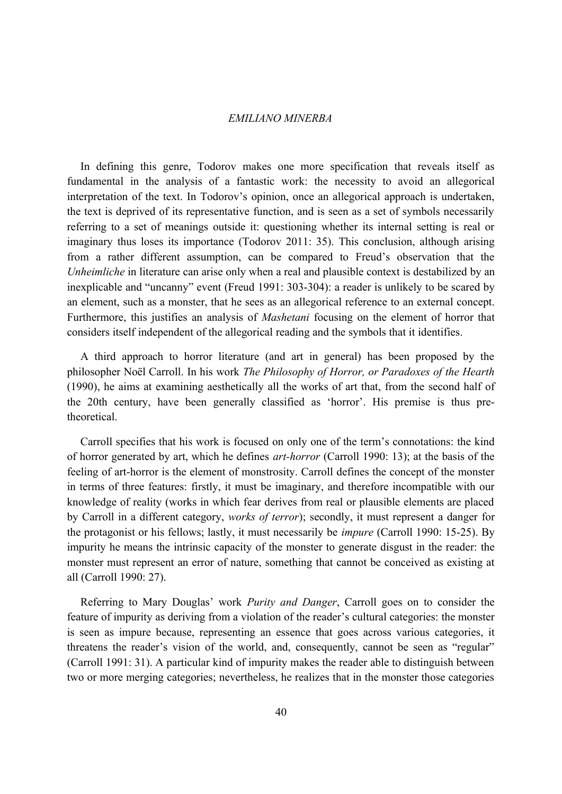In defining this genre, Todorov makes one more specification that reveals itself as fundamental in the analysis of a fantastic work: the necessity to avoid an allegorical interpretation of the text. In Todorov's opinion, once an allegorical approach is undertaken, the text is deprived of its representative function, and is seen as a set of symbols necessarily referring to a set of meanings outside it: questioning whether its internal setting is real or imaginary thus loses its importance (Todorov 2011: 35). This conclusion, although arising from a rather different assumption, can be compared to Freud's observation that the *Unheimliche* in literature can arise only when a real and plausible context is destabilized by an inexplicable and "uncanny" event (Freud 1991: 303-304): a reader is unlikely to be scared by an element, such as a monster, that he sees as an allegorical reference to an external concept. Furthermore, this justifies an analysis of *Mashetani* focusing on the element of horror that considers itself independent of the allegorical reading and the symbols that it identifies.

A third approach to horror literature (and art in general) has been proposed by the philosopher Noël Carroll. In his work *The Philosophy of Horror, or Paradoxes of the Hearth* (1990), he aims at examining aesthetically all the works of art that, from the second half of the 20th century, have been generally classified as 'horror'. His premise is thus pretheoretical.

Carroll specifies that his work is focused on only one of the term's connotations: the kind of horror generated by art, which he defines *art-horror* (Carroll 1990: 13); at the basis of the feeling of art-horror is the element of monstrosity. Carroll defines the concept of the monster in terms of three features: firstly, it must be imaginary, and therefore incompatible with our knowledge of reality (works in which fear derives from real or plausible elements are placed by Carroll in a different category, *works of terror*); secondly, it must represent a danger for the protagonist or his fellows; lastly, it must necessarily be *impure* (Carroll 1990: 15-25). By impurity he means the intrinsic capacity of the monster to generate disgust in the reader: the monster must represent an error of nature, something that cannot be conceived as existing at all (Carroll 1990: 27).

Referring to Mary Douglas' work *Purity and Danger*, Carroll goes on to consider the feature of impurity as deriving from a violation of the reader's cultural categories: the monster is seen as impure because, representing an essence that goes across various categories, it threatens the reader's vision of the world, and, consequently, cannot be seen as "regular" (Carroll 1991: 31). A particular kind of impurity makes the reader able to distinguish between two or more merging categories; nevertheless, he realizes that in the monster those categories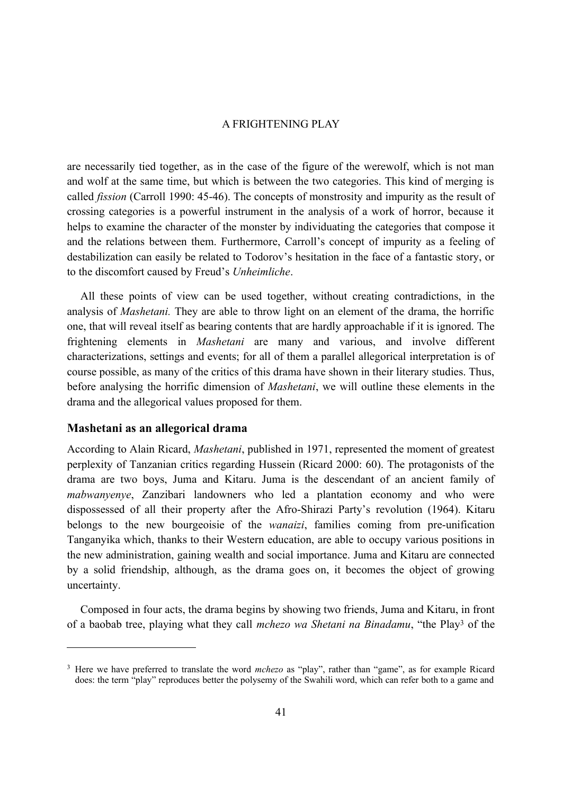are necessarily tied together, as in the case of the figure of the werewolf, which is not man and wolf at the same time, but which is between the two categories. This kind of merging is called *fission* (Carroll 1990: 45-46). The concepts of monstrosity and impurity as the result of crossing categories is a powerful instrument in the analysis of a work of horror, because it helps to examine the character of the monster by individuating the categories that compose it and the relations between them. Furthermore, Carroll's concept of impurity as a feeling of destabilization can easily be related to Todorov's hesitation in the face of a fantastic story, or to the discomfort caused by Freud's *Unheimliche*.

All these points of view can be used together, without creating contradictions, in the analysis of *Mashetani.* They are able to throw light on an element of the drama, the horrific one, that will reveal itself as bearing contents that are hardly approachable if it is ignored. The frightening elements in *Mashetani* are many and various, and involve different characterizations, settings and events; for all of them a parallel allegorical interpretation is of course possible, as many of the critics of this drama have shown in their literary studies. Thus, before analysing the horrific dimension of *Mashetani*, we will outline these elements in the drama and the allegorical values proposed for them.

#### **Mashetani as an allegorical drama**

According to Alain Ricard, *Mashetani*, published in 1971, represented the moment of greatest perplexity of Tanzanian critics regarding Hussein (Ricard 2000: 60). The protagonists of the drama are two boys, Juma and Kitaru. Juma is the descendant of an ancient family of *mabwanyenye*, Zanzibari landowners who led a plantation economy and who were dispossessed of all their property after the Afro-Shirazi Party's revolution (1964). Kitaru belongs to the new bourgeoisie of the *wanaizi*, families coming from pre-unification Tanganyika which, thanks to their Western education, are able to occupy various positions in the new administration, gaining wealth and social importance. Juma and Kitaru are connected by a solid friendship, although, as the drama goes on, it becomes the object of growing uncertainty.

Composed in four acts, the drama begins by showing two friends, Juma and Kitaru, in front of a baobab tree, playing what they call *mchezo wa Shetani na Binadamu*, "the Play[3](#page-4-0) of the

<span id="page-4-0"></span><sup>3</sup> Here we have preferred to translate the word *mchezo* as "play", rather than "game", as for example Ricard does: the term "play" reproduces better the polysemy of the Swahili word, which can refer both to a game and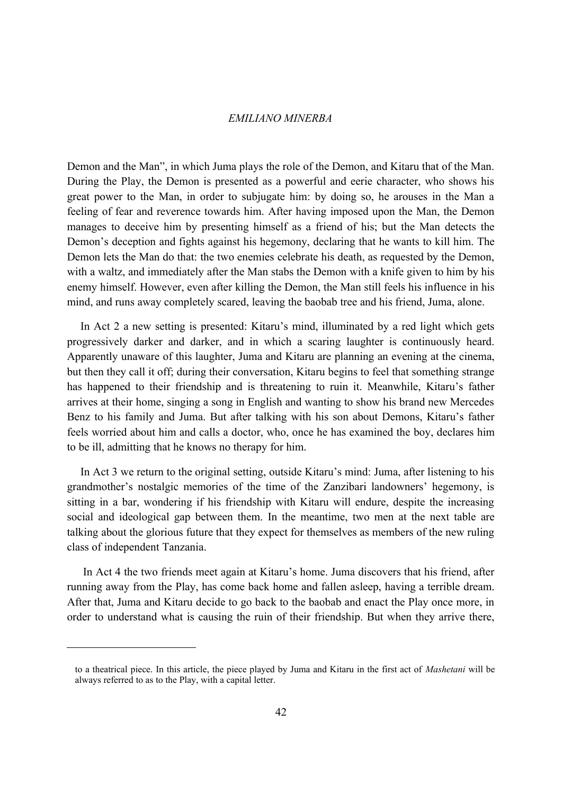Demon and the Man", in which Juma plays the role of the Demon, and Kitaru that of the Man. During the Play, the Demon is presented as a powerful and eerie character, who shows his great power to the Man, in order to subjugate him: by doing so, he arouses in the Man a feeling of fear and reverence towards him. After having imposed upon the Man, the Demon manages to deceive him by presenting himself as a friend of his; but the Man detects the Demon's deception and fights against his hegemony, declaring that he wants to kill him. The Demon lets the Man do that: the two enemies celebrate his death, as requested by the Demon, with a waltz, and immediately after the Man stabs the Demon with a knife given to him by his enemy himself. However, even after killing the Demon, the Man still feels his influence in his mind, and runs away completely scared, leaving the baobab tree and his friend, Juma, alone.

In Act 2 a new setting is presented: Kitaru's mind, illuminated by a red light which gets progressively darker and darker, and in which a scaring laughter is continuously heard. Apparently unaware of this laughter, Juma and Kitaru are planning an evening at the cinema, but then they call it off; during their conversation, Kitaru begins to feel that something strange has happened to their friendship and is threatening to ruin it. Meanwhile, Kitaru's father arrives at their home, singing a song in English and wanting to show his brand new Mercedes Benz to his family and Juma. But after talking with his son about Demons, Kitaru's father feels worried about him and calls a doctor, who, once he has examined the boy, declares him to be ill, admitting that he knows no therapy for him.

In Act 3 we return to the original setting, outside Kitaru's mind: Juma, after listening to his grandmother's nostalgic memories of the time of the Zanzibari landowners' hegemony, is sitting in a bar, wondering if his friendship with Kitaru will endure, despite the increasing social and ideological gap between them. In the meantime, two men at the next table are talking about the glorious future that they expect for themselves as members of the new ruling class of independent Tanzania.

In Act 4 the two friends meet again at Kitaru's home. Juma discovers that his friend, after running away from the Play, has come back home and fallen asleep, having a terrible dream. After that, Juma and Kitaru decide to go back to the baobab and enact the Play once more, in order to understand what is causing the ruin of their friendship. But when they arrive there,

to a theatrical piece. In this article, the piece played by Juma and Kitaru in the first act of *Mashetani* will be always referred to as to the Play, with a capital letter.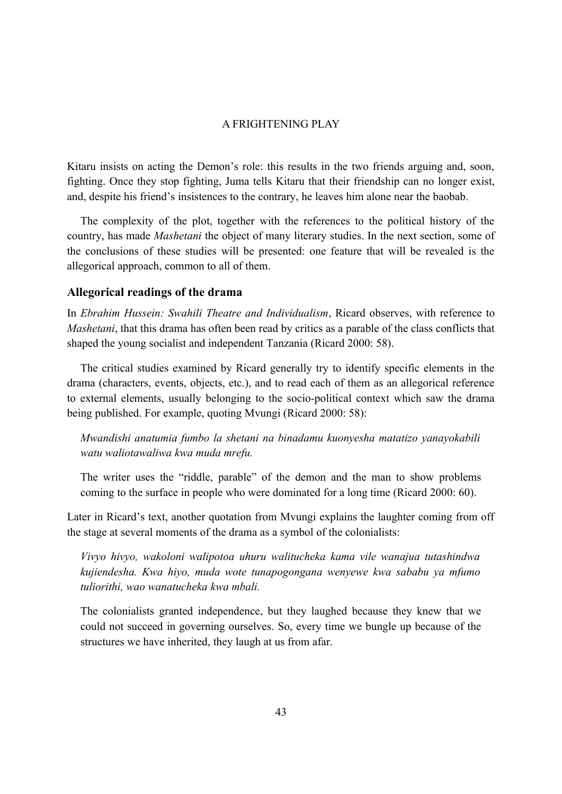Kitaru insists on acting the Demon's role: this results in the two friends arguing and, soon, fighting. Once they stop fighting, Juma tells Kitaru that their friendship can no longer exist, and, despite his friend's insistences to the contrary, he leaves him alone near the baobab.

The complexity of the plot, together with the references to the political history of the country, has made *Mashetani* the object of many literary studies. In the next section, some of the conclusions of these studies will be presented: one feature that will be revealed is the allegorical approach, common to all of them.

#### **Allegorical readings of the drama**

In *Ebrahim Hussein: Swahili Theatre and Individualism*, Ricard observes, with reference to *Mashetani*, that this drama has often been read by critics as a parable of the class conflicts that shaped the young socialist and independent Tanzania (Ricard 2000: 58).

The critical studies examined by Ricard generally try to identify specific elements in the drama (characters, events, objects, etc.), and to read each of them as an allegorical reference to external elements, usually belonging to the socio-political context which saw the drama being published. For example, quoting Mvungi (Ricard 2000: 58):

*Mwandishi anatumia fumbo la shetani na binadamu kuonyesha matatizo yanayokabili watu waliotawaliwa kwa muda mrefu.*

The writer uses the "riddle, parable" of the demon and the man to show problems coming to the surface in people who were dominated for a long time (Ricard 2000: 60).

Later in Ricard's text, another quotation from Mvungi explains the laughter coming from off the stage at several moments of the drama as a symbol of the colonialists:

*Vivyo hivyo, wakoloni walipotoa uhuru walitucheka kama vile wanajua tutashindwa kujiendesha. Kwa hiyo, muda wote tunapogongana wenyewe kwa sababu ya mfumo tuliorithi, wao wanatucheka kwa mbali.*

The colonialists granted independence, but they laughed because they knew that we could not succeed in governing ourselves. So, every time we bungle up because of the structures we have inherited, they laugh at us from afar.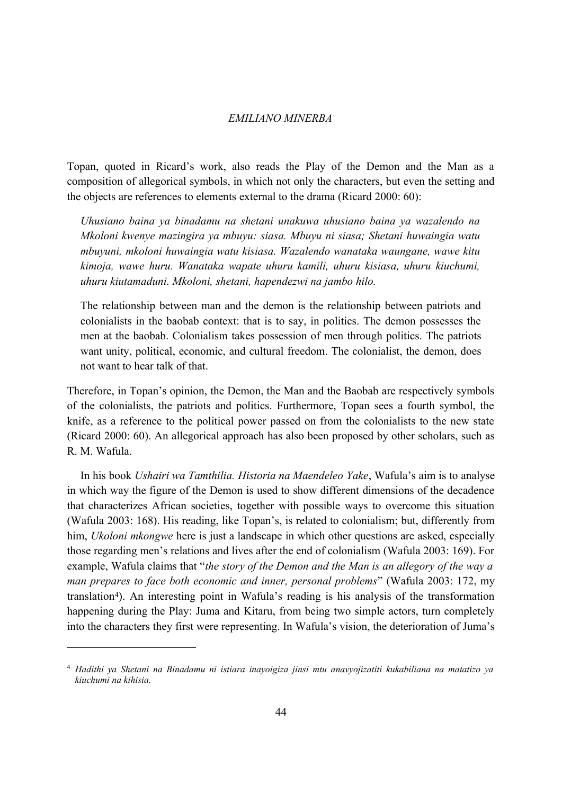Topan, quoted in Ricard's work, also reads the Play of the Demon and the Man as a composition of allegorical symbols, in which not only the characters, but even the setting and the objects are references to elements external to the drama (Ricard 2000: 60):

*Uhusiano baina ya binadamu na shetani unakuwa uhusiano baina ya wazalendo na Mkoloni kwenye mazingira ya mbuyu: siasa. Mbuyu ni siasa; Shetani huwaingia watu mbuyuni, mkoloni huwaingia watu kisiasa. Wazalendo wanataka waungane, wawe kitu kimoja, wawe huru. Wanataka wapate uhuru kamili, uhuru kisiasa, uhuru kiuchumi, uhuru kiutamaduni. Mkoloni, shetani, hapendezwi na jambo hilo.*

The relationship between man and the demon is the relationship between patriots and colonialists in the baobab context: that is to say, in politics. The demon possesses the men at the baobab. Colonialism takes possession of men through politics. The patriots want unity, political, economic, and cultural freedom. The colonialist, the demon, does not want to hear talk of that.

Therefore, in Topan's opinion, the Demon, the Man and the Baobab are respectively symbols of the colonialists, the patriots and politics. Furthermore, Topan sees a fourth symbol, the knife, as a reference to the political power passed on from the colonialists to the new state (Ricard 2000: 60). An allegorical approach has also been proposed by other scholars, such as R. M. Wafula.

In his book *Ushairi wa Tamthilia. Historia na Maendeleo Yake*, Wafula's aim is to analyse in which way the figure of the Demon is used to show different dimensions of the decadence that characterizes African societies, together with possible ways to overcome this situation (Wafula 2003: 168). His reading, like Topan's, is related to colonialism; but, differently from him, *Ukoloni mkongwe* here is just a landscape in which other questions are asked, especially those regarding men's relations and lives after the end of colonialism (Wafula 2003: 169). For example, Wafula claims that "*the story of the Demon and the Man is an allegory of the way a man prepares to face both economic and inner, personal problems*" (Wafula 2003: 172, my translation[4](#page-7-0)). An interesting point in Wafula's reading is his analysis of the transformation happening during the Play: Juma and Kitaru, from being two simple actors, turn completely into the characters they first were representing. In Wafula's vision, the deterioration of Juma's

<span id="page-7-0"></span><sup>4</sup> *Hadithi ya Shetani na Binadamu ni istiara inayoigiza jinsi mtu anavyojizatiti kukabiliana na matatizo ya kiuchumi na kihisia.*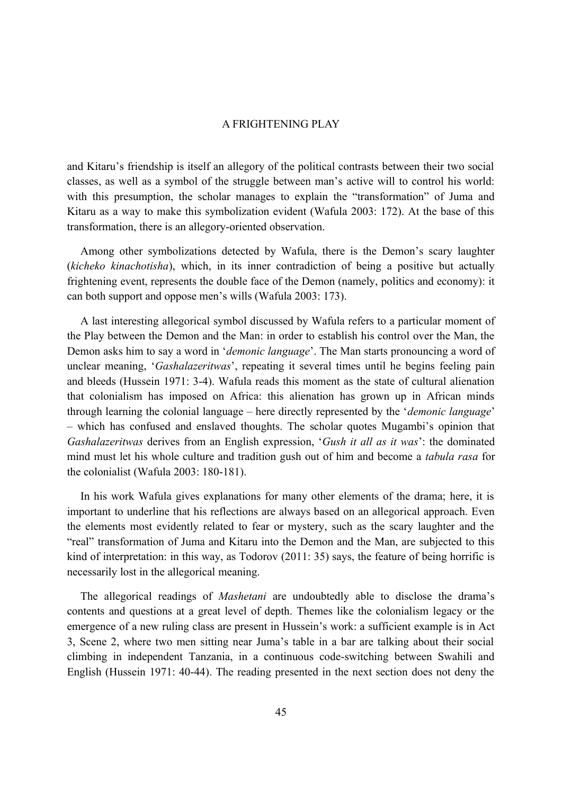and Kitaru's friendship is itself an allegory of the political contrasts between their two social classes, as well as a symbol of the struggle between man's active will to control his world: with this presumption, the scholar manages to explain the "transformation" of Juma and Kitaru as a way to make this symbolization evident (Wafula 2003: 172). At the base of this transformation, there is an allegory-oriented observation.

Among other symbolizations detected by Wafula, there is the Demon's scary laughter (*kicheko kinachotisha*), which, in its inner contradiction of being a positive but actually frightening event, represents the double face of the Demon (namely, politics and economy): it can both support and oppose men's wills (Wafula 2003: 173).

A last interesting allegorical symbol discussed by Wafula refers to a particular moment of the Play between the Demon and the Man: in order to establish his control over the Man, the Demon asks him to say a word in '*demonic language*'. The Man starts pronouncing a word of unclear meaning, '*Gashalazeritwas*', repeating it several times until he begins feeling pain and bleeds (Hussein 1971: 3-4). Wafula reads this moment as the state of cultural alienation that colonialism has imposed on Africa: this alienation has grown up in African minds through learning the colonial language – here directly represented by the '*demonic language*' – which has confused and enslaved thoughts. The scholar quotes Mugambi's opinion that *Gashalazeritwas* derives from an English expression, '*Gush it all as it was*': the dominated mind must let his whole culture and tradition gush out of him and become a *tabula rasa* for the colonialist (Wafula 2003: 180-181).

In his work Wafula gives explanations for many other elements of the drama; here, it is important to underline that his reflections are always based on an allegorical approach. Even the elements most evidently related to fear or mystery, such as the scary laughter and the "real" transformation of Juma and Kitaru into the Demon and the Man, are subjected to this kind of interpretation: in this way, as Todorov (2011: 35) says, the feature of being horrific is necessarily lost in the allegorical meaning.

The allegorical readings of *Mashetani* are undoubtedly able to disclose the drama's contents and questions at a great level of depth. Themes like the colonialism legacy or the emergence of a new ruling class are present in Hussein's work: a sufficient example is in Act 3, Scene 2, where two men sitting near Juma's table in a bar are talking about their social climbing in independent Tanzania, in a continuous code-switching between Swahili and English (Hussein 1971: 40-44). The reading presented in the next section does not deny the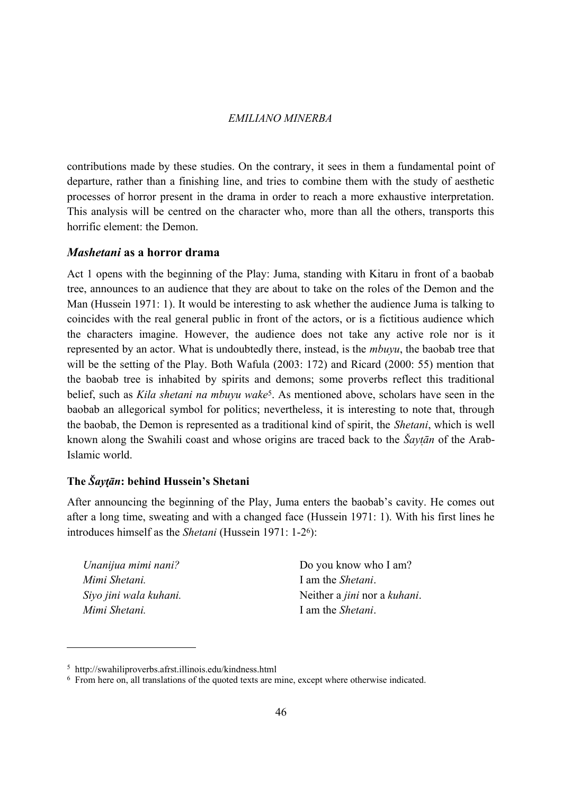contributions made by these studies. On the contrary, it sees in them a fundamental point of departure, rather than a finishing line, and tries to combine them with the study of aesthetic processes of horror present in the drama in order to reach a more exhaustive interpretation. This analysis will be centred on the character who, more than all the others, transports this horrific element: the Demon.

## *Mashetani* **as a horror drama**

Act 1 opens with the beginning of the Play: Juma, standing with Kitaru in front of a baobab tree, announces to an audience that they are about to take on the roles of the Demon and the Man (Hussein 1971: 1). It would be interesting to ask whether the audience Juma is talking to coincides with the real general public in front of the actors, or is a fictitious audience which the characters imagine. However, the audience does not take any active role nor is it represented by an actor. What is undoubtedly there, instead, is the *mbuyu*, the baobab tree that will be the setting of the Play. Both Wafula (2003: 172) and Ricard (2000: 55) mention that the baobab tree is inhabited by spirits and demons; some proverbs reflect this traditional belief, such as *Kila shetani na mbuyu wake*[5](#page-9-0). As mentioned above, scholars have seen in the baobab an allegorical symbol for politics; nevertheless, it is interesting to note that, through the baobab, the Demon is represented as a traditional kind of spirit, the *Shetani*, which is well known along the Swahili coast and whose origins are traced back to the *Šaytān* of the Arab-Islamic world.

## **The** *Šaytān* **: behind Hussein's Shetani**

After announcing the beginning of the Play, Juma enters the baobab's cavity. He comes out after a long time, sweating and with a changed face (Hussein 1971: 1). With his first lines he introduces himself as the *Shetani* (Hussein 1971: 1-2[6](#page-9-1)):

*Unanijua mimi nani? Mimi Shetani. Siyo jini wala kuhani. Mimi Shetani.*

Do you know who I am? I am the *Shetani*. Neither a *jini* nor a *kuhani*. I am the *Shetani*.

<span id="page-9-0"></span><sup>5</sup> http://swahiliproverbs.afrst.illinois.edu/kindness.html

<span id="page-9-1"></span><sup>6</sup> From here on, all translations of the quoted texts are mine, except where otherwise indicated.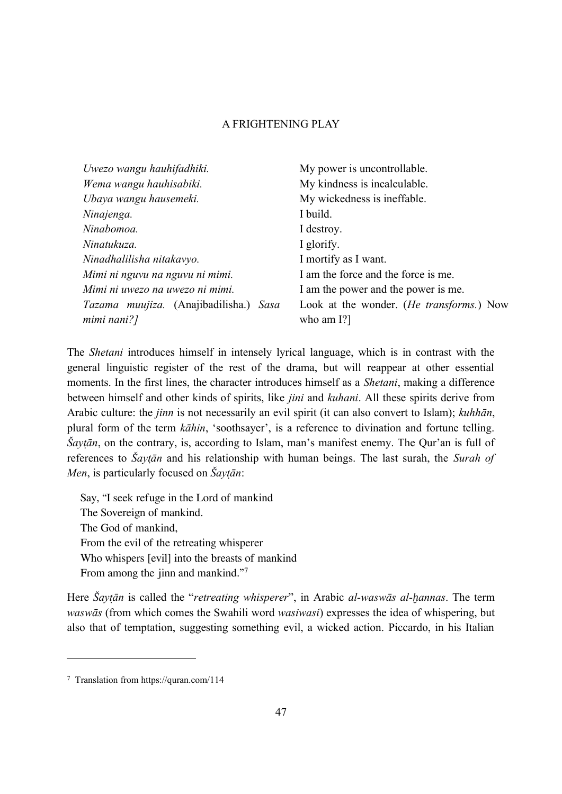| Uwezo wangu hauhifadhiki.                        | My power is uncontrollable.                       |
|--------------------------------------------------|---------------------------------------------------|
| Wema wangu hauhisabiki.                          | My kindness is incalculable.                      |
| Ubaya wangu hausemeki.                           | My wickedness is ineffable.                       |
| Ninajenga.                                       | I build.                                          |
| Ninabomoa.                                       | I destroy.                                        |
| Ninatukuza.                                      | I glorify.                                        |
| Ninadhalilisha nitakavyo.                        | I mortify as I want.                              |
| Mimi ni nguvu na nguvu ni mimi.                  | I am the force and the force is me.               |
| Mimi ni uwezo na uwezo ni mimi.                  | I am the power and the power is me.               |
| <i>Tazama muujiza.</i> (Anajibadilisha.)<br>Sasa | Look at the wonder. ( <i>He transforms</i> .) Now |
| mimi nani?]                                      | who am $[?]$                                      |

The *Shetani* introduces himself in intensely lyrical language, which is in contrast with the general linguistic register of the rest of the drama, but will reappear at other essential moments. In the first lines, the character introduces himself as a *Shetani*, making a difference between himself and other kinds of spirits, like *jini* and *kuhani*. All these spirits derive from Arabic culture: the *jinn* is not necessarily an evil spirit (it can also convert to Islam); *kuhhān*, plural form of the term *kāhin*, 'soothsayer', is a reference to divination and fortune telling. *Šaytān*, on the contrary, is, according to Islam, man's manifest enemy. The Qur'an is full of references to *Šaytān* and his relationship with human beings. The last surah, the *Surah of Men*, is particularly focused on  $\tilde{S}$ *aytān*:

Say, "I seek refuge in the Lord of mankind The Sovereign of mankind. The God of mankind, From the evil of the retreating whisperer Who whispers [evil] into the breasts of mankind From among the jinn and mankind."[7](#page-10-0)

Here *Šaytān* is called the "*retreating whisperer*", in Arabic *al-waswās al-hannas*. The term *waswās* (from which comes the Swahili word *wasiwasi*) expresses the idea of whispering, but also that of temptation, suggesting something evil, a wicked action. Piccardo, in his Italian

<span id="page-10-0"></span><sup>7</sup> Translation from https://quran.com/114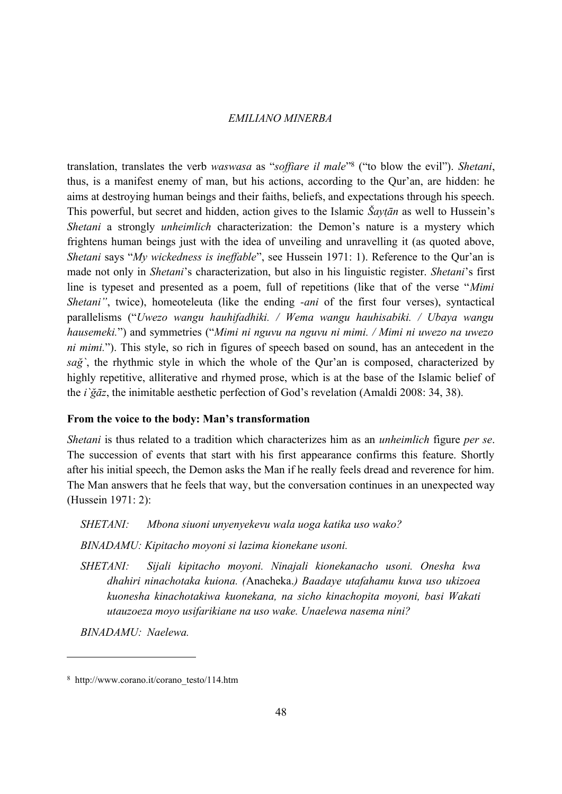translation, translates the verb *waswasa* as "*soffiare il male*" [8](#page-11-0) ("to blow the evil"). *Shetani*, thus, is a manifest enemy of man, but his actions, according to the Qur'an, are hidden: he aims at destroying human beings and their faiths, beliefs, and expectations through his speech. This powerful, but secret and hidden, action gives to the Islamic *Šaytān* as well to Hussein's *Shetani* a strongly *unheimlich* characterization: the Demon's nature is a mystery which frightens human beings just with the idea of unveiling and unravelling it (as quoted above, *Shetani* says "*My wickedness is ineffable*", see Hussein 1971: 1). Reference to the Qur'an is made not only in *Shetani*'s characterization, but also in his linguistic register. *Shetani*'s first line is typeset and presented as a poem, full of repetitions (like that of the verse "*Mimi Shetani"*, twice), homeoteleuta (like the ending *-ani* of the first four verses), syntactical parallelisms ("*Uwezo wangu hauhifadhiki. / Wema wangu hauhisabiki. / Ubaya wangu hausemeki.*") and symmetries ("*Mimi ni nguvu na nguvu ni mimi. / Mimi ni uwezo na uwezo ni mimi.*"). This style, so rich in figures of speech based on sound, has an antecedent in the *sağ`*, the rhythmic style in which the whole of the Qur'an is composed, characterized by highly repetitive, alliterative and rhymed prose, which is at the base of the Islamic belief of the *i`ğāz*, the inimitable aesthetic perfection of God's revelation (Amaldi 2008: 34, 38).

#### **From the voice to the body: Man's transformation**

*Shetani* is thus related to a tradition which characterizes him as an *unheimlich* figure *per se*. The succession of events that start with his first appearance confirms this feature. Shortly after his initial speech, the Demon asks the Man if he really feels dread and reverence for him. The Man answers that he feels that way, but the conversation continues in an unexpected way (Hussein 1971: 2):

# *SHETANI: Mbona siuoni unyenyekevu wala uoga katika uso wako?*

*BINADAMU: Kipitacho moyoni si lazima kionekane usoni.*

*SHETANI: Sijali kipitacho moyoni. Ninajali kionekanacho usoni. Onesha kwa dhahiri ninachotaka kuiona. (*Anacheka.*) Baadaye utafahamu kuwa uso ukizoea kuonesha kinachotakiwa kuonekana, na sicho kinachopita moyoni, basi Wakati utauzoeza moyo usifarikiane na uso wake. Unaelewa nasema nini?*

*BINADAMU: Naelewa.*

<span id="page-11-0"></span><sup>8</sup> http://www.corano.it/corano\_testo/114.htm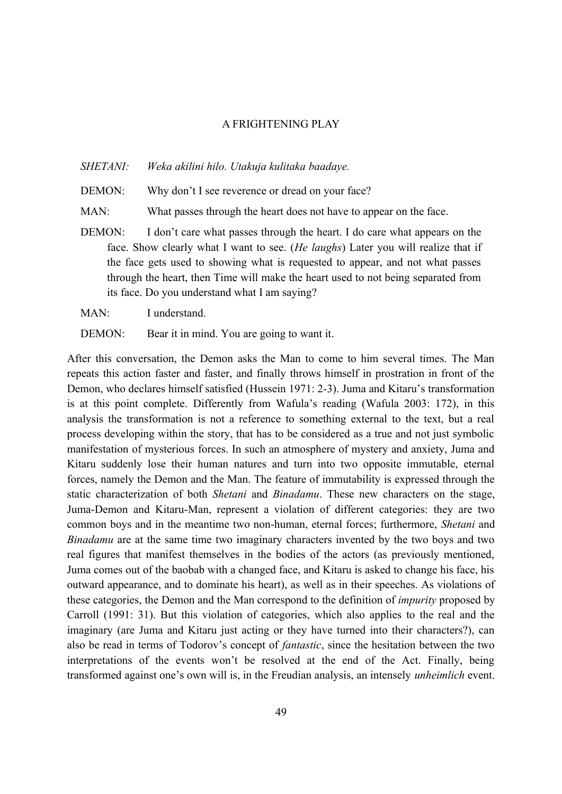*SHETANI: Weka akilini hilo. Utakuja kulitaka baadaye.*

- DEMON: Why don't I see reverence or dread on your face?
- MAN: What passes through the heart does not have to appear on the face.
- DEMON: I don't care what passes through the heart. I do care what appears on the face. Show clearly what I want to see. (*He laughs*) Later you will realize that if the face gets used to showing what is requested to appear, and not what passes through the heart, then Time will make the heart used to not being separated from its face. Do you understand what I am saying?
- MAN: I understand.
- DEMON: Bear it in mind. You are going to want it.

After this conversation, the Demon asks the Man to come to him several times. The Man repeats this action faster and faster, and finally throws himself in prostration in front of the Demon, who declares himself satisfied (Hussein 1971: 2-3). Juma and Kitaru's transformation is at this point complete. Differently from Wafula's reading (Wafula 2003: 172), in this analysis the transformation is not a reference to something external to the text, but a real process developing within the story, that has to be considered as a true and not just symbolic manifestation of mysterious forces. In such an atmosphere of mystery and anxiety, Juma and Kitaru suddenly lose their human natures and turn into two opposite immutable, eternal forces, namely the Demon and the Man. The feature of immutability is expressed through the static characterization of both *Shetani* and *Binadamu*. These new characters on the stage, Juma-Demon and Kitaru-Man, represent a violation of different categories: they are two common boys and in the meantime two non-human, eternal forces; furthermore, *Shetani* and *Binadamu* are at the same time two imaginary characters invented by the two boys and two real figures that manifest themselves in the bodies of the actors (as previously mentioned, Juma comes out of the baobab with a changed face, and Kitaru is asked to change his face, his outward appearance, and to dominate his heart), as well as in their speeches. As violations of these categories, the Demon and the Man correspond to the definition of *impurity* proposed by Carroll (1991: 31). But this violation of categories, which also applies to the real and the imaginary (are Juma and Kitaru just acting or they have turned into their characters?), can also be read in terms of Todorov's concept of *fantastic*, since the hesitation between the two interpretations of the events won't be resolved at the end of the Act. Finally, being transformed against one's own will is, in the Freudian analysis, an intensely *unheimlich* event.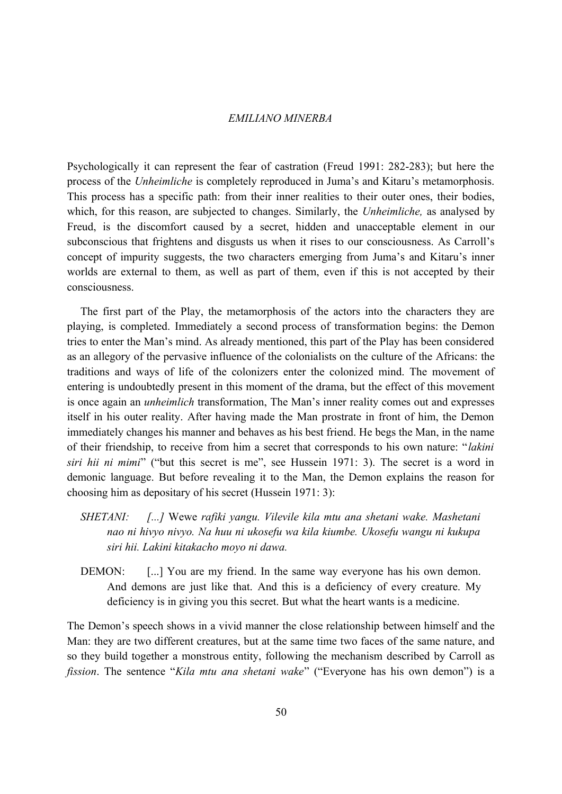Psychologically it can represent the fear of castration (Freud 1991: 282-283); but here the process of the *Unheimliche* is completely reproduced in Juma's and Kitaru's metamorphosis. This process has a specific path: from their inner realities to their outer ones, their bodies, which, for this reason, are subjected to changes. Similarly, the *Unheimliche,* as analysed by Freud, is the discomfort caused by a secret, hidden and unacceptable element in our subconscious that frightens and disgusts us when it rises to our consciousness. As Carroll's concept of impurity suggests, the two characters emerging from Juma's and Kitaru's inner worlds are external to them, as well as part of them, even if this is not accepted by their consciousness.

The first part of the Play, the metamorphosis of the actors into the characters they are playing, is completed. Immediately a second process of transformation begins: the Demon tries to enter the Man's mind. As already mentioned, this part of the Play has been considered as an allegory of the pervasive influence of the colonialists on the culture of the Africans: the traditions and ways of life of the colonizers enter the colonized mind. The movement of entering is undoubtedly present in this moment of the drama, but the effect of this movement is once again an *unheimlich* transformation, The Man's inner reality comes out and expresses itself in his outer reality. After having made the Man prostrate in front of him, the Demon immediately changes his manner and behaves as his best friend. He begs the Man, in the name of their friendship, to receive from him a secret that corresponds to his own nature: "*lakini siri hii ni mimi*" ("but this secret is me", see Hussein 1971: 3). The secret is a word in demonic language. But before revealing it to the Man, the Demon explains the reason for choosing him as depositary of his secret (Hussein 1971: 3):

- *SHETANI: [...]* Wewe *rafiki yangu. Vilevile kila mtu ana shetani wake. Mashetani nao ni hivyo nivyo. Na huu ni ukosefu wa kila kiumbe. Ukosefu wangu ni kukupa siri hii. Lakini kitakacho moyo ni dawa.*
- DEMON: [...] You are my friend. In the same way everyone has his own demon. And demons are just like that. And this is a deficiency of every creature. My deficiency is in giving you this secret. But what the heart wants is a medicine.

The Demon's speech shows in a vivid manner the close relationship between himself and the Man: they are two different creatures, but at the same time two faces of the same nature, and so they build together a monstrous entity, following the mechanism described by Carroll as *fission*. The sentence "*Kila mtu ana shetani wake*" ("Everyone has his own demon") is a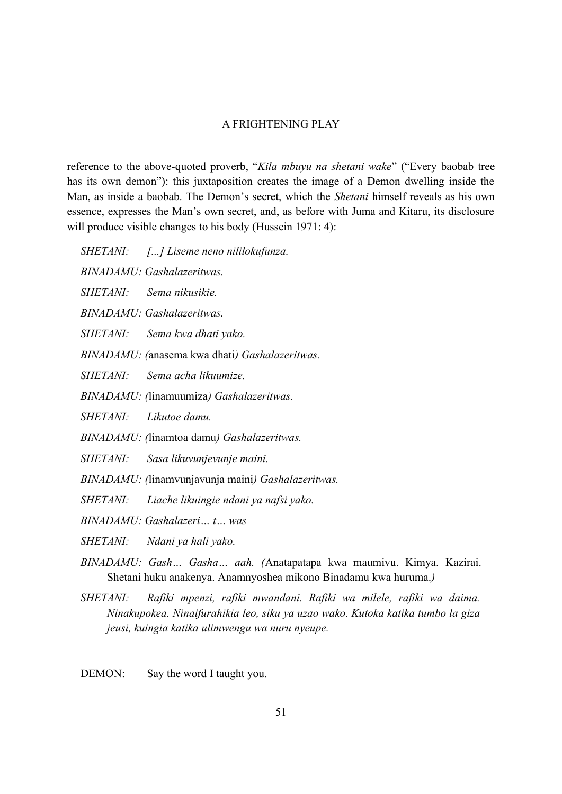reference to the above-quoted proverb, "*Kila mbuyu na shetani wake*" ("Every baobab tree has its own demon"): this juxtaposition creates the image of a Demon dwelling inside the Man, as inside a baobab. The Demon's secret, which the *Shetani* himself reveals as his own essence, expresses the Man's own secret, and, as before with Juma and Kitaru, its disclosure will produce visible changes to his body (Hussein 1971: 4):

*SHETANI: [...] Liseme neno nililokufunza.*

*BINADAMU: Gashalazeritwas.*

*SHETANI: Sema nikusikie.*

*BINADAMU: Gashalazeritwas.*

*SHETANI: Sema kwa dhati yako.*

*BINADAMU: (*anasema kwa dhati*) Gashalazeritwas.*

*SHETANI: Sema acha likuumize.*

- *BINADAMU: (*linamuumiza*) Gashalazeritwas.*
- *SHETANI: Likutoe damu.*
- *BINADAMU: (*linamtoa damu*) Gashalazeritwas.*
- *SHETANI: Sasa likuvunjevunje maini.*
- *BINADAMU: (*linamvunjavunja maini*) Gashalazeritwas.*

*SHETANI: Liache likuingie ndani ya nafsi yako.*

*BINADAMU: Gashalazeri… t… was*

*SHETANI: Ndani ya hali yako.*

- *BINADAMU: Gash… Gasha… aah. (*Anatapatapa kwa maumivu. Kimya. Kazirai. Shetani huku anakenya. Anamnyoshea mikono Binadamu kwa huruma.*)*
- *SHETANI: Rafiki mpenzi, rafiki mwandani. Rafiki wa milele, rafiki wa daima. Ninakupokea. Ninaifurahikia leo, siku ya uzao wako. Kutoka katika tumbo la giza jeusi, kuingia katika ulimwengu wa nuru nyeupe.*

DEMON: Say the word I taught you.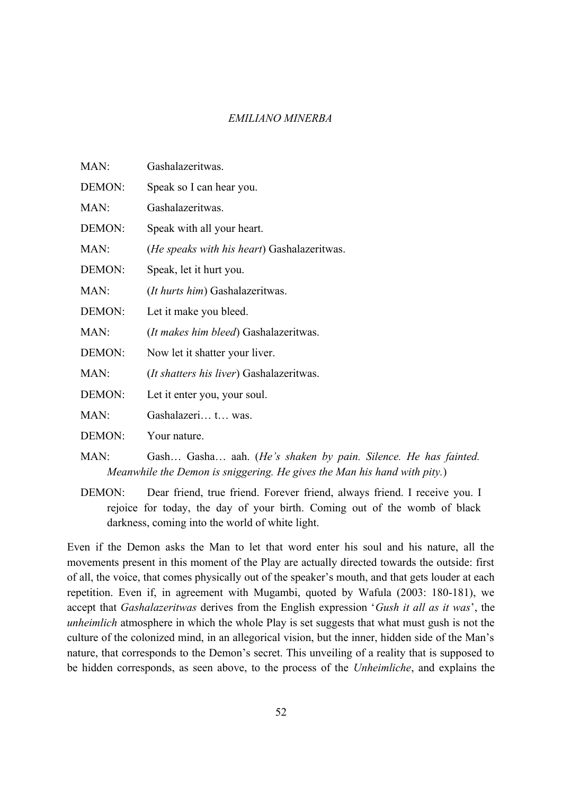| MAN:   | Gashalazeritwas.                                                         |
|--------|--------------------------------------------------------------------------|
| DEMON: | Speak so I can hear you.                                                 |
| MAN:   | Gashalazeritwas.                                                         |
| DEMON: | Speak with all your heart.                                               |
| MAN:   | <i>(He speaks with his heart)</i> Gashalazeritwas.                       |
| DEMON: | Speak, let it hurt you.                                                  |
| MAN:   | (It hurts him) Gashalazeritwas.                                          |
| DEMON: | Let it make you bleed.                                                   |
| MAN:   | <i>(It makes him bleed)</i> Gashalazeritwas.                             |
| DEMON: | Now let it shatter your liver.                                           |
| MAN:   | <i>(It shatters his liver)</i> Gashalazeritwas.                          |
| DEMON: | Let it enter you, your soul.                                             |
| MAN:   | Gashalazeri t was.                                                       |
| DEMON: | Your nature.                                                             |
| MAN:   | Gash Gasha aah. (He's shaken by pain. Silence. He has fainted.           |
|        | Meanwhile the Demon is sniggering. He gives the Man his hand with pity.) |

DEMON: Dear friend, true friend. Forever friend, always friend. I receive you. I rejoice for today, the day of your birth. Coming out of the womb of black darkness, coming into the world of white light.

Even if the Demon asks the Man to let that word enter his soul and his nature, all the movements present in this moment of the Play are actually directed towards the outside: first of all, the voice, that comes physically out of the speaker's mouth, and that gets louder at each repetition. Even if, in agreement with Mugambi, quoted by Wafula (2003: 180-181), we accept that *Gashalazeritwas* derives from the English expression '*Gush it all as it was*', the *unheimlich* atmosphere in which the whole Play is set suggests that what must gush is not the culture of the colonized mind, in an allegorical vision, but the inner, hidden side of the Man's nature, that corresponds to the Demon's secret. This unveiling of a reality that is supposed to be hidden corresponds, as seen above, to the process of the *Unheimliche*, and explains the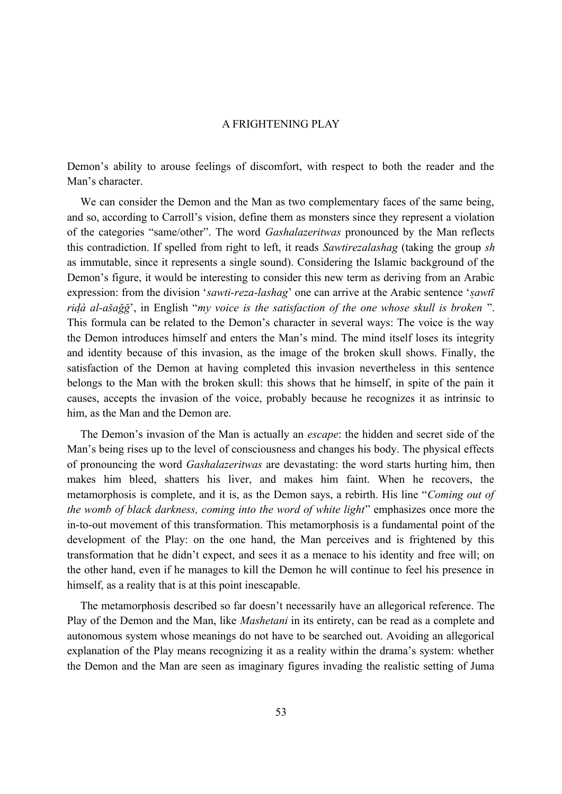Demon's ability to arouse feelings of discomfort, with respect to both the reader and the Man's character.

We can consider the Demon and the Man as two complementary faces of the same being, and so, according to Carroll's vision, define them as monsters since they represent a violation of the categories "same/other". The word *Gashalazeritwas* pronounced by the Man reflects this contradiction. If spelled from right to left, it reads *Sawtirezalashag* (taking the group *sh* as immutable, since it represents a single sound). Considering the Islamic background of the Demon's figure, it would be interesting to consider this new term as deriving from an Arabic expression: from the division '*[sa](https://it.wikipedia.org/wiki/Al-Ikhl%C4%81%E1%B9%A3)wti-reza-lashag*' one can arrive at the Arabic sentence '*sawtī ridà al-ašağğ*', in English "*my voice is the satisfaction of the one whose skull is broken*". This formula can be related to the Demon's character in several ways: The voice is the way the Demon introduces himself and enters the Man's mind. The mind itself loses its integrity and identity because of this invasion, as the image of the broken skull shows. Finally, the satisfaction of the Demon at having completed this invasion nevertheless in this sentence belongs to the Man with the broken skull: this shows that he himself, in spite of the pain it causes, accepts the invasion of the voice, probably because he recognizes it as intrinsic to him, as the Man and the Demon are.

The Demon's invasion of the Man is actually an *escape*: the hidden and secret side of the Man's being rises up to the level of consciousness and changes his body. The physical effects of pronouncing the word *Gashalazeritwas* are devastating: the word starts hurting him, then makes him bleed, shatters his liver, and makes him faint. When he recovers, the metamorphosis is complete, and it is, as the Demon says, a rebirth. His line "*Coming out of the womb of black darkness, coming into the word of white light*" emphasizes once more the in-to-out movement of this transformation. This metamorphosis is a fundamental point of the development of the Play: on the one hand, the Man perceives and is frightened by this transformation that he didn't expect, and sees it as a menace to his identity and free will; on the other hand, even if he manages to kill the Demon he will continue to feel his presence in himself, as a reality that is at this point inescapable.

The metamorphosis described so far doesn't necessarily have an allegorical reference. The Play of the Demon and the Man, like *Mashetani* in its entirety, can be read as a complete and autonomous system whose meanings do not have to be searched out. Avoiding an allegorical explanation of the Play means recognizing it as a reality within the drama's system: whether the Demon and the Man are seen as imaginary figures invading the realistic setting of Juma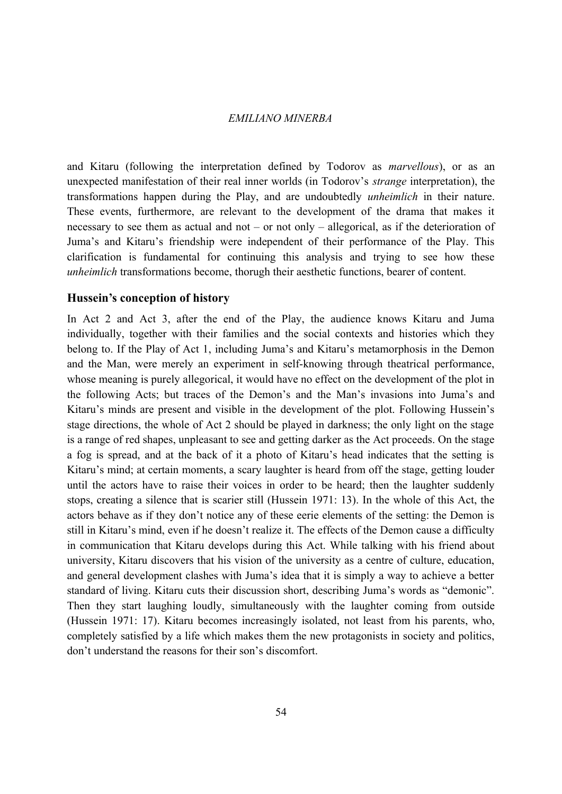and Kitaru (following the interpretation defined by Todorov as *marvellous*), or as an unexpected manifestation of their real inner worlds (in Todorov's *strange* interpretation), the transformations happen during the Play, and are undoubtedly *unheimlich* in their nature. These events, furthermore, are relevant to the development of the drama that makes it necessary to see them as actual and not – or not only – allegorical, as if the deterioration of Juma's and Kitaru's friendship were independent of their performance of the Play. This clarification is fundamental for continuing this analysis and trying to see how these *unheimlich* transformations become, thorugh their aesthetic functions, bearer of content.

#### **Hussein's conception of history**

In Act 2 and Act 3, after the end of the Play, the audience knows Kitaru and Juma individually, together with their families and the social contexts and histories which they belong to. If the Play of Act 1, including Juma's and Kitaru's metamorphosis in the Demon and the Man, were merely an experiment in self-knowing through theatrical performance, whose meaning is purely allegorical, it would have no effect on the development of the plot in the following Acts; but traces of the Demon's and the Man's invasions into Juma's and Kitaru's minds are present and visible in the development of the plot. Following Hussein's stage directions, the whole of Act 2 should be played in darkness; the only light on the stage is a range of red shapes, unpleasant to see and getting darker as the Act proceeds. On the stage a fog is spread, and at the back of it a photo of Kitaru's head indicates that the setting is Kitaru's mind; at certain moments, a scary laughter is heard from off the stage, getting louder until the actors have to raise their voices in order to be heard; then the laughter suddenly stops, creating a silence that is scarier still (Hussein 1971: 13). In the whole of this Act, the actors behave as if they don't notice any of these eerie elements of the setting: the Demon is still in Kitaru's mind, even if he doesn't realize it. The effects of the Demon cause a difficulty in communication that Kitaru develops during this Act. While talking with his friend about university, Kitaru discovers that his vision of the university as a centre of culture, education, and general development clashes with Juma's idea that it is simply a way to achieve a better standard of living. Kitaru cuts their discussion short, describing Juma's words as "demonic". Then they start laughing loudly, simultaneously with the laughter coming from outside (Hussein 1971: 17). Kitaru becomes increasingly isolated, not least from his parents, who, completely satisfied by a life which makes them the new protagonists in society and politics, don't understand the reasons for their son's discomfort.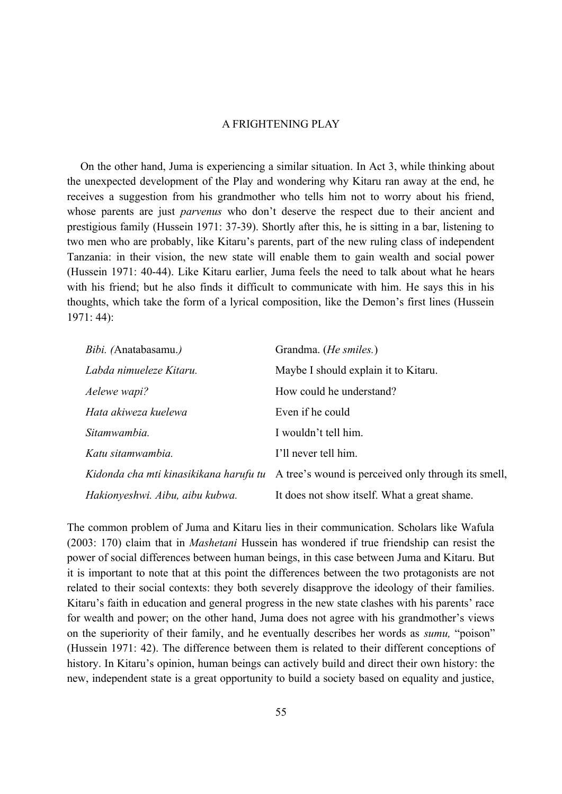On the other hand, Juma is experiencing a similar situation. In Act 3, while thinking about the unexpected development of the Play and wondering why Kitaru ran away at the end, he receives a suggestion from his grandmother who tells him not to worry about his friend, whose parents are just *parvenus* who don't deserve the respect due to their ancient and prestigious family (Hussein 1971: 37-39). Shortly after this, he is sitting in a bar, listening to two men who are probably, like Kitaru's parents, part of the new ruling class of independent Tanzania: in their vision, the new state will enable them to gain wealth and social power (Hussein 1971: 40-44). Like Kitaru earlier, Juma feels the need to talk about what he hears with his friend; but he also finds it difficult to communicate with him. He says this in his thoughts, which take the form of a lyrical composition, like the Demon's first lines (Hussein 1971: 44):

| Bibi. (Anatabasamu.)                   | Grandma. ( <i>He smiles</i> .)                      |
|----------------------------------------|-----------------------------------------------------|
| Labda nimueleze Kitaru.                | Maybe I should explain it to Kitaru.                |
| Aelewe wapi?                           | How could he understand?                            |
| Hata akiweza kuelewa                   | Even if he could                                    |
| Sitamwambia.                           | I wouldn't tell him.                                |
| Katu sitamwambia.                      | I'll never tell him.                                |
| Kidonda cha mti kinasikikana harufu tu | A tree's wound is perceived only through its smell, |
| Hakionyeshwi. Aibu, aibu kubwa.        | It does not show itself. What a great shame.        |

The common problem of Juma and Kitaru lies in their communication. Scholars like Wafula (2003: 170) claim that in *Mashetani* Hussein has wondered if true friendship can resist the power of social differences between human beings, in this case between Juma and Kitaru. But it is important to note that at this point the differences between the two protagonists are not related to their social contexts: they both severely disapprove the ideology of their families. Kitaru's faith in education and general progress in the new state clashes with his parents' race for wealth and power; on the other hand, Juma does not agree with his grandmother's views on the superiority of their family, and he eventually describes her words as *sumu,* "poison" (Hussein 1971: 42). The difference between them is related to their different conceptions of history. In Kitaru's opinion, human beings can actively build and direct their own history: the new, independent state is a great opportunity to build a society based on equality and justice,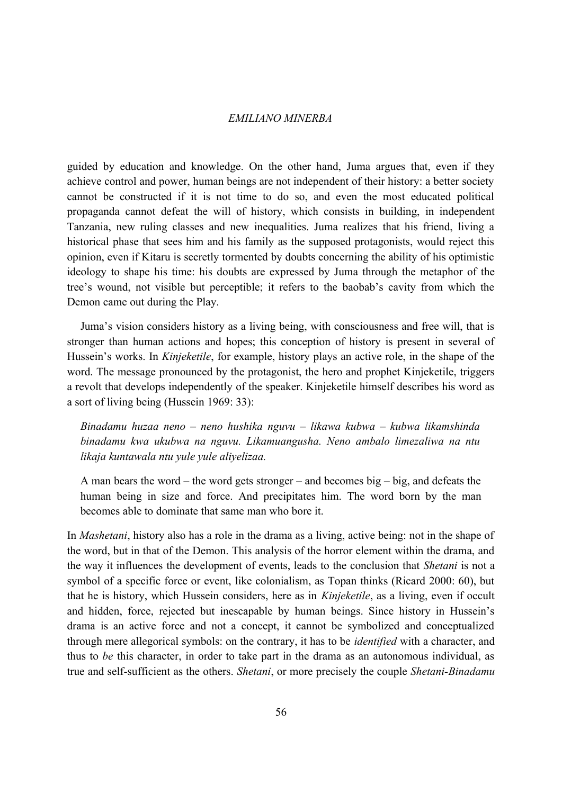guided by education and knowledge. On the other hand, Juma argues that, even if they achieve control and power, human beings are not independent of their history: a better society cannot be constructed if it is not time to do so, and even the most educated political propaganda cannot defeat the will of history, which consists in building, in independent Tanzania, new ruling classes and new inequalities. Juma realizes that his friend, living a historical phase that sees him and his family as the supposed protagonists, would reject this opinion, even if Kitaru is secretly tormented by doubts concerning the ability of his optimistic ideology to shape his time: his doubts are expressed by Juma through the metaphor of the tree's wound, not visible but perceptible; it refers to the baobab's cavity from which the Demon came out during the Play.

Juma's vision considers history as a living being, with consciousness and free will, that is stronger than human actions and hopes; this conception of history is present in several of Hussein's works. In *Kinjeketile*, for example, history plays an active role, in the shape of the word. The message pronounced by the protagonist, the hero and prophet Kinjeketile, triggers a revolt that develops independently of the speaker. Kinjeketile himself describes his word as a sort of living being (Hussein 1969: 33):

*Binadamu huzaa neno – neno hushika nguvu – likawa kubwa – kubwa likamshinda binadamu kwa ukubwa na nguvu. Likamuangusha. Neno ambalo limezaliwa na ntu likaja kuntawala ntu yule yule aliyelizaa.*

A man bears the word – the word gets stronger – and becomes big – big, and defeats the human being in size and force. And precipitates him. The word born by the man becomes able to dominate that same man who bore it.

In *Mashetani*, history also has a role in the drama as a living, active being: not in the shape of the word, but in that of the Demon. This analysis of the horror element within the drama, and the way it influences the development of events, leads to the conclusion that *Shetani* is not a symbol of a specific force or event, like colonialism, as Topan thinks (Ricard 2000: 60), but that he is history, which Hussein considers, here as in *Kinjeketile*, as a living, even if occult and hidden, force, rejected but inescapable by human beings. Since history in Hussein's drama is an active force and not a concept, it cannot be symbolized and conceptualized through mere allegorical symbols: on the contrary, it has to be *identified* with a character, and thus to *be* this character, in order to take part in the drama as an autonomous individual, as true and self-sufficient as the others. *Shetani*, or more precisely the couple *Shetani-Binadamu*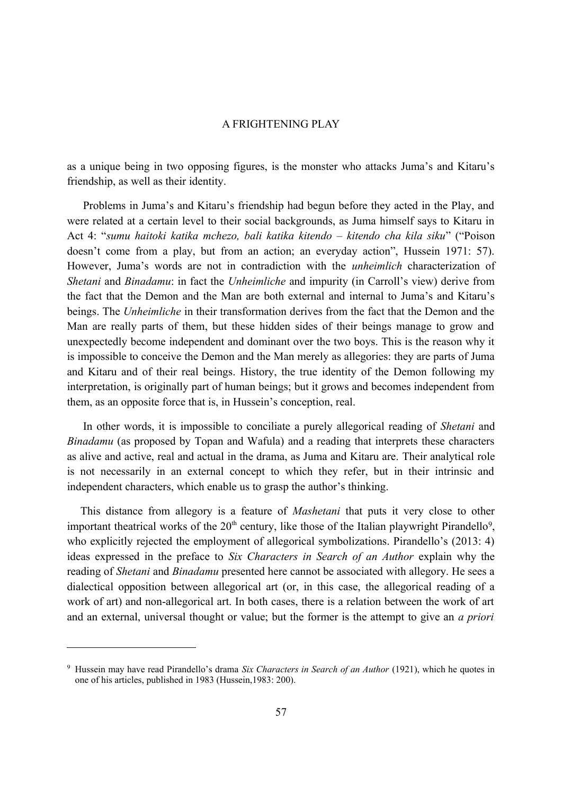as a unique being in two opposing figures, is the monster who attacks Juma's and Kitaru's friendship, as well as their identity.

Problems in Juma's and Kitaru's friendship had begun before they acted in the Play, and were related at a certain level to their social backgrounds, as Juma himself says to Kitaru in Act 4: "*sumu haitoki katika mchezo, bali katika kitendo – kitendo cha kila siku*" ("Poison doesn't come from a play, but from an action; an everyday action", Hussein 1971: 57). However, Juma's words are not in contradiction with the *unheimlich* characterization of *Shetani* and *Binadamu*: in fact the *Unheimliche* and impurity (in Carroll's view) derive from the fact that the Demon and the Man are both external and internal to Juma's and Kitaru's beings. The *Unheimliche* in their transformation derives from the fact that the Demon and the Man are really parts of them, but these hidden sides of their beings manage to grow and unexpectedly become independent and dominant over the two boys. This is the reason why it is impossible to conceive the Demon and the Man merely as allegories: they are parts of Juma and Kitaru and of their real beings. History, the true identity of the Demon following my interpretation, is originally part of human beings; but it grows and becomes independent from them, as an opposite force that is, in Hussein's conception, real.

In other words, it is impossible to conciliate a purely allegorical reading of *Shetani* and *Binadamu* (as proposed by Topan and Wafula) and a reading that interprets these characters as alive and active, real and actual in the drama, as Juma and Kitaru are. Their analytical role is not necessarily in an external concept to which they refer, but in their intrinsic and independent characters, which enable us to grasp the author's thinking.

This distance from allegory is a feature of *Mashetani* that puts it very close to other important theatrical works of the  $20<sup>th</sup>$  century, like those of the Italian playwright Pirandello<sup>[9](#page-20-0)</sup>, who explicitly rejected the employment of allegorical symbolizations. Pirandello's (2013: 4) ideas expressed in the preface to *Six Characters in Search of an Author* explain why the reading of *Shetani* and *Binadamu* presented here cannot be associated with allegory. He sees a dialectical opposition between allegorical art (or, in this case, the allegorical reading of a work of art) and non-allegorical art. In both cases, there is a relation between the work of art and an external, universal thought or value; but the former is the attempt to give an *a priori*

<span id="page-20-0"></span><sup>9</sup> Hussein may have read Pirandello's drama *Six Characters in Search of an Author* (1921), which he quotes in one of his articles, published in 1983 (Hussein,1983: 200).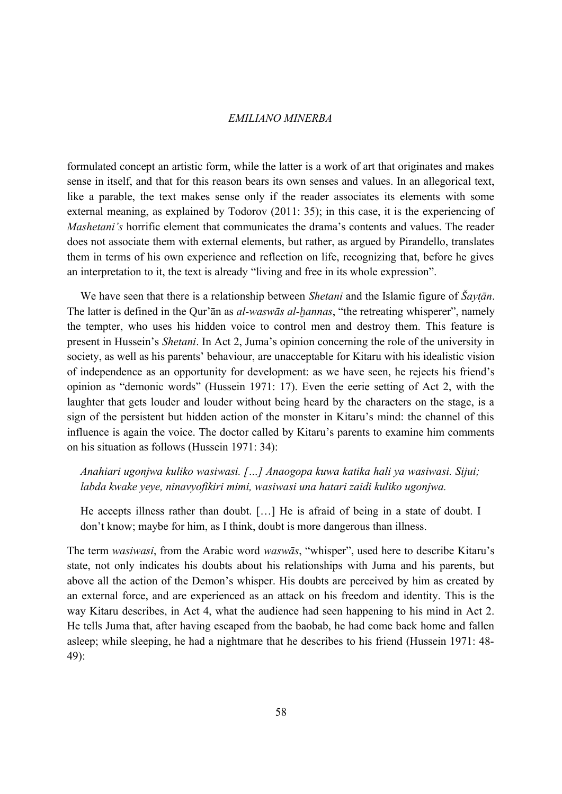formulated concept an artistic form, while the latter is a work of art that originates and makes sense in itself, and that for this reason bears its own senses and values. In an allegorical text, like a parable, the text makes sense only if the reader associates its elements with some external meaning, as explained by Todorov (2011: 35); in this case, it is the experiencing of *Mashetani's* horrific element that communicates the drama's contents and values. The reader does not associate them with external elements, but rather, as argued by Pirandello, translates them in terms of his own experience and reflection on life, recognizing that, before he gives an interpretation to it, the text is already "living and free in its whole expression".

We have seen that there is a relationship between *Shetani* and the Islamic figure of *Šaytān*. The latter is defined in the Qur'ān as *al-waswās al-ḫannas*, "the retreating whisperer", namely the tempter, who uses his hidden voice to control men and destroy them. This feature is present in Hussein's *Shetani*. In Act 2, Juma's opinion concerning the role of the university in society, as well as his parents' behaviour, are unacceptable for Kitaru with his idealistic vision of independence as an opportunity for development: as we have seen, he rejects his friend's opinion as "demonic words" (Hussein 1971: 17). Even the eerie setting of Act 2, with the laughter that gets louder and louder without being heard by the characters on the stage, is a sign of the persistent but hidden action of the monster in Kitaru's mind: the channel of this influence is again the voice. The doctor called by Kitaru's parents to examine him comments on his situation as follows (Hussein 1971: 34):

## *Anahiari ugonjwa kuliko wasiwasi. […] Anaogopa kuwa katika hali ya wasiwasi. Sijui; labda kwake yeye, ninavyofikiri mimi, wasiwasi una hatari zaidi kuliko ugonjwa.*

He accepts illness rather than doubt. […] He is afraid of being in a state of doubt. I don't know; maybe for him, as I think, doubt is more dangerous than illness.

The term *wasiwasi*, from the Arabic word *waswās*, "whisper", used here to describe Kitaru's state, not only indicates his doubts about his relationships with Juma and his parents, but above all the action of the Demon's whisper. His doubts are perceived by him as created by an external force, and are experienced as an attack on his freedom and identity. This is the way Kitaru describes, in Act 4, what the audience had seen happening to his mind in Act 2. He tells Juma that, after having escaped from the baobab, he had come back home and fallen asleep; while sleeping, he had a nightmare that he describes to his friend (Hussein 1971: 48- 49):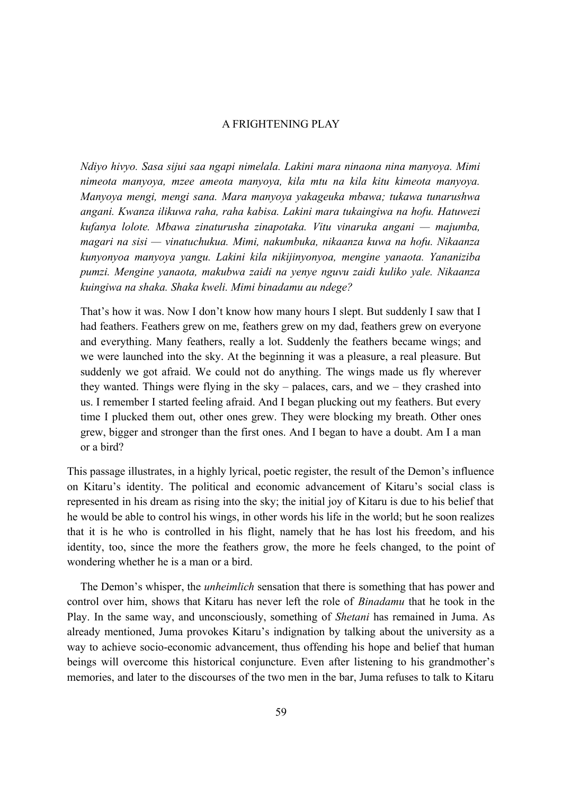*Ndiyo hivyo. Sasa sijui saa ngapi nimelala. Lakini mara ninaona nina manyoya. Mimi nimeota manyoya, mzee ameota manyoya, kila mtu na kila kitu kimeota manyoya. Manyoya mengi, mengi sana. Mara manyoya yakageuka mbawa; tukawa tunarushwa angani. Kwanza ilikuwa raha, raha kabisa. Lakini mara tukaingiwa na hofu. Hatuwezi kufanya lolote. Mbawa zinaturusha zinapotaka. Vitu vinaruka angani — majumba, magari na sisi — vinatuchukua. Mimi, nakumbuka, nikaanza kuwa na hofu. Nikaanza kunyonyoa manyoya yangu. Lakini kila nikijinyonyoa, mengine yanaota. Yananiziba pumzi. Mengine yanaota, makubwa zaidi na yenye nguvu zaidi kuliko yale. Nikaanza kuingiwa na shaka. Shaka kweli. Mimi binadamu au ndege?*

That's how it was. Now I don't know how many hours I slept. But suddenly I saw that I had feathers. Feathers grew on me, feathers grew on my dad, feathers grew on everyone and everything. Many feathers, really a lot. Suddenly the feathers became wings; and we were launched into the sky. At the beginning it was a pleasure, a real pleasure. But suddenly we got afraid. We could not do anything. The wings made us fly wherever they wanted. Things were flying in the sky – palaces, cars, and we – they crashed into us. I remember I started feeling afraid. And I began plucking out my feathers. But every time I plucked them out, other ones grew. They were blocking my breath. Other ones grew, bigger and stronger than the first ones. And I began to have a doubt. Am I a man or a bird?

This passage illustrates, in a highly lyrical, poetic register, the result of the Demon's influence on Kitaru's identity. The political and economic advancement of Kitaru's social class is represented in his dream as rising into the sky; the initial joy of Kitaru is due to his belief that he would be able to control his wings, in other words his life in the world; but he soon realizes that it is he who is controlled in his flight, namely that he has lost his freedom, and his identity, too, since the more the feathers grow, the more he feels changed, to the point of wondering whether he is a man or a bird.

The Demon's whisper, the *unheimlich* sensation that there is something that has power and control over him, shows that Kitaru has never left the role of *Binadamu* that he took in the Play. In the same way, and unconsciously, something of *Shetani* has remained in Juma. As already mentioned, Juma provokes Kitaru's indignation by talking about the university as a way to achieve socio-economic advancement, thus offending his hope and belief that human beings will overcome this historical conjuncture. Even after listening to his grandmother's memories, and later to the discourses of the two men in the bar, Juma refuses to talk to Kitaru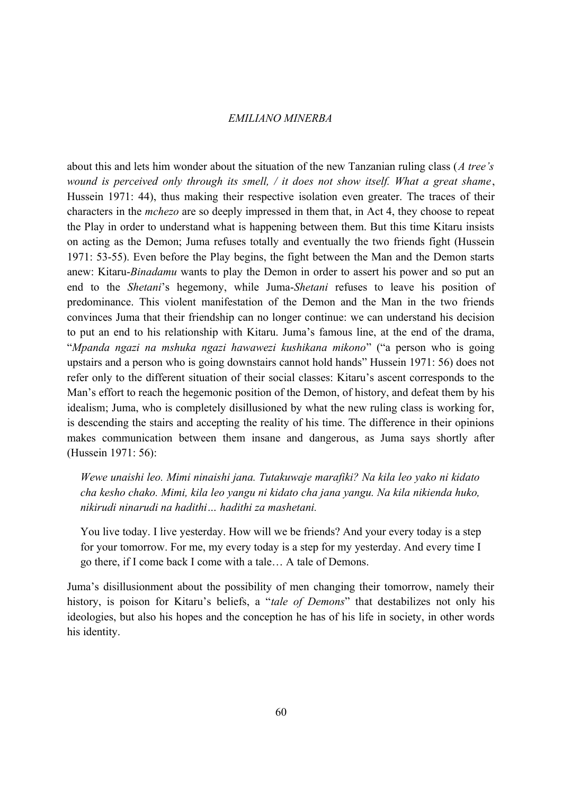about this and lets him wonder about the situation of the new Tanzanian ruling class (*A tree's wound is perceived only through its smell, / it does not show itself. What a great shame*, Hussein 1971: 44), thus making their respective isolation even greater. The traces of their characters in the *mchezo* are so deeply impressed in them that, in Act 4, they choose to repeat the Play in order to understand what is happening between them. But this time Kitaru insists on acting as the Demon; Juma refuses totally and eventually the two friends fight (Hussein 1971: 53-55). Even before the Play begins, the fight between the Man and the Demon starts anew: Kitaru-*Binadamu* wants to play the Demon in order to assert his power and so put an end to the *Shetani*'s hegemony, while Juma-*Shetani* refuses to leave his position of predominance. This violent manifestation of the Demon and the Man in the two friends convinces Juma that their friendship can no longer continue: we can understand his decision to put an end to his relationship with Kitaru. Juma's famous line, at the end of the drama, "*Mpanda ngazi na mshuka ngazi hawawezi kushikana mikono*" ("a person who is going upstairs and a person who is going downstairs cannot hold hands" Hussein 1971: 56) does not refer only to the different situation of their social classes: Kitaru's ascent corresponds to the Man's effort to reach the hegemonic position of the Demon, of history, and defeat them by his idealism; Juma, who is completely disillusioned by what the new ruling class is working for, is descending the stairs and accepting the reality of his time. The difference in their opinions makes communication between them insane and dangerous, as Juma says shortly after (Hussein 1971: 56):

*Wewe unaishi leo. Mimi ninaishi jana. Tutakuwaje marafiki? Na kila leo yako ni kidato cha kesho chako. Mimi, kila leo yangu ni kidato cha jana yangu. Na kila nikienda huko, nikirudi ninarudi na hadithi… hadithi za mashetani.*

You live today. I live yesterday. How will we be friends? And your every today is a step for your tomorrow. For me, my every today is a step for my yesterday. And every time I go there, if I come back I come with a tale… A tale of Demons.

Juma's disillusionment about the possibility of men changing their tomorrow, namely their history, is poison for Kitaru's beliefs, a "*tale of Demons*" that destabilizes not only his ideologies, but also his hopes and the conception he has of his life in society, in other words his identity.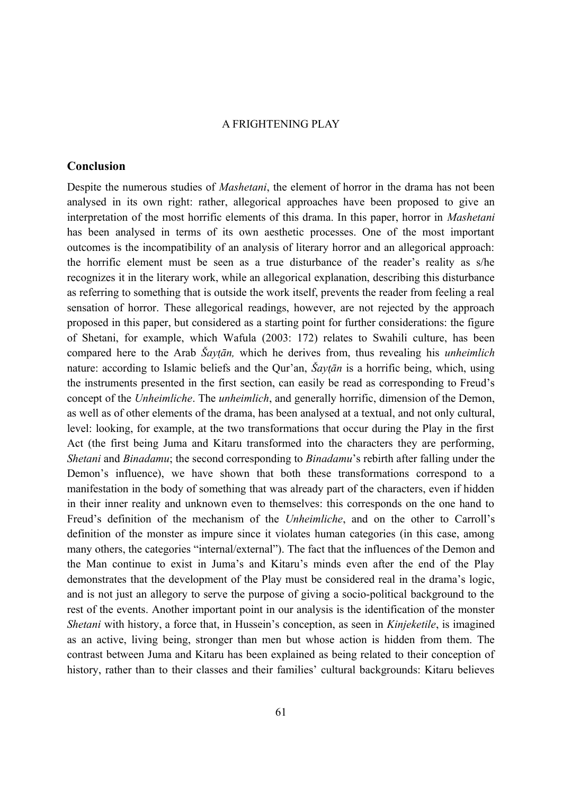#### **Conclusion**

Despite the numerous studies of *Mashetani*, the element of horror in the drama has not been analysed in its own right: rather, allegorical approaches have been proposed to give an interpretation of the most horrific elements of this drama. In this paper, horror in *Mashetani* has been analysed in terms of its own aesthetic processes. One of the most important outcomes is the incompatibility of an analysis of literary horror and an allegorical approach: the horrific element must be seen as a true disturbance of the reader's reality as s/he recognizes it in the literary work, while an allegorical explanation, describing this disturbance as referring to something that is outside the work itself, prevents the reader from feeling a real sensation of horror. These allegorical readings, however, are not rejected by the approach proposed in this paper, but considered as a starting point for further considerations: the figure of Shetani, for example, which Wafula (2003: 172) relates to Swahili culture, has been compared here to the Arab *Šaytān*, which he derives from, thus revealing his *unheimlich* nature: according to Islamic beliefs and the Qur'an, *Šaytān* is a horrific being, which, using the instruments presented in the first section, can easily be read as corresponding to Freud's concept of the *Unheimliche*. The *unheimlich*, and generally horrific, dimension of the Demon, as well as of other elements of the drama, has been analysed at a textual, and not only cultural, level: looking, for example, at the two transformations that occur during the Play in the first Act (the first being Juma and Kitaru transformed into the characters they are performing, *Shetani* and *Binadamu*; the second corresponding to *Binadamu*'s rebirth after falling under the Demon's influence), we have shown that both these transformations correspond to a manifestation in the body of something that was already part of the characters, even if hidden in their inner reality and unknown even to themselves: this corresponds on the one hand to Freud's definition of the mechanism of the *Unheimliche*, and on the other to Carroll's definition of the monster as impure since it violates human categories (in this case, among many others, the categories "internal/external"). The fact that the influences of the Demon and the Man continue to exist in Juma's and Kitaru's minds even after the end of the Play demonstrates that the development of the Play must be considered real in the drama's logic, and is not just an allegory to serve the purpose of giving a socio-political background to the rest of the events. Another important point in our analysis is the identification of the monster *Shetani* with history, a force that, in Hussein's conception, as seen in *Kinjeketile*, is imagined as an active, living being, stronger than men but whose action is hidden from them. The contrast between Juma and Kitaru has been explained as being related to their conception of history, rather than to their classes and their families' cultural backgrounds: Kitaru believes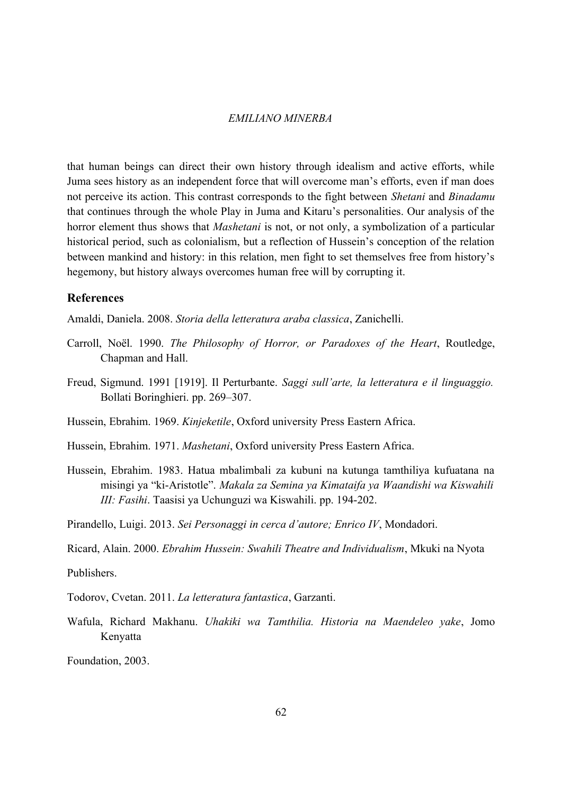that human beings can direct their own history through idealism and active efforts, while Juma sees history as an independent force that will overcome man's efforts, even if man does not perceive its action. This contrast corresponds to the fight between *Shetani* and *Binadamu* that continues through the whole Play in Juma and Kitaru's personalities. Our analysis of the horror element thus shows that *Mashetani* is not, or not only, a symbolization of a particular historical period, such as colonialism, but a reflection of Hussein's conception of the relation between mankind and history: in this relation, men fight to set themselves free from history's hegemony, but history always overcomes human free will by corrupting it.

## **References**

Amaldi, Daniela. 2008. *Storia della letteratura araba classica*, Zanichelli.

- Carroll, Noël. 1990. *The Philosophy of Horror, or Paradoxes of the Heart*, Routledge, Chapman and Hall.
- Freud, Sigmund. 1991 [1919]. Il Perturbante. *Saggi sull'arte, la letteratura e il linguaggio.* Bollati Boringhieri. pp. 269–307.

Hussein, Ebrahim. 1969. *Kinjeketile*, Oxford university Press Eastern Africa.

Hussein, Ebrahim. 1971. *Mashetani*, Oxford university Press Eastern Africa.

Hussein, Ebrahim. 1983. Hatua mbalimbali za kubuni na kutunga tamthiliya kufuatana na misingi ya "ki-Aristotle". *Makala za Semina ya Kimataifa ya Waandishi wa Kiswahili III: Fasihi*. Taasisi ya Uchunguzi wa Kiswahili. pp. 194-202.

Pirandello, Luigi. 2013. *Sei Personaggi in cerca d'autore; Enrico IV*, Mondadori.

Ricard, Alain. 2000. *Ebrahim Hussein: Swahili Theatre and Individualism*, Mkuki na Nyota

Publishers.

- Todorov, Cvetan. 2011. *La letteratura fantastica*, Garzanti.
- Wafula, Richard Makhanu. *Uhakiki wa Tamthilia. Historia na Maendeleo yake*, Jomo Kenyatta

Foundation, 2003.